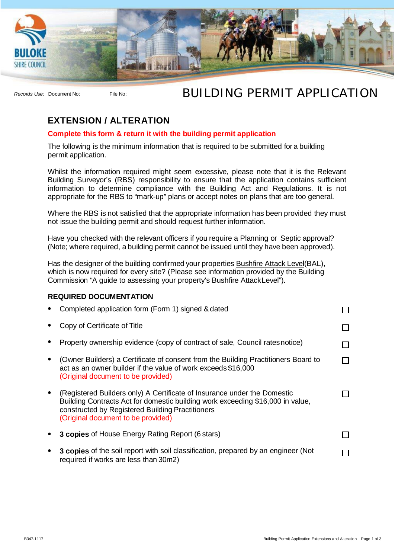

## *Records Use*: Document No: File No: BUILDING PERMIT APPLICATION

## **EXTENSION / ALTERATION**

## **Complete this form & return it with the building permit application**

The following is the minimum information that is required to be submitted for a building permit application.

Whilst the information required might seem excessive, please note that it is the Relevant Building Surveyor's (RBS) responsibility to ensure that the application contains sufficient information to determine compliance with the Building Act and Regulations. It is not appropriate for the RBS to "mark-up" plans or accept notes on plans that are too general.

Where the RBS is not satisfied that the appropriate information has been provided they must not issue the building permit and should request further information.

Have you checked with the relevant officers if you require a Planning or Septic approval? (Note; where required, a building permit cannot be issued until they have been approved).

Has the designer of the building confirmed your properties Bushfire Attack Level(BAL), which is now required for every site? (Please see information provided by the Building Commission "A guide to assessing your property's Bushfire AttackLevel").

## **REQUIRED DOCUMENTATION**

| Completed application form (Form 1) signed & dated                                                                                                                                                                                                   |  |
|------------------------------------------------------------------------------------------------------------------------------------------------------------------------------------------------------------------------------------------------------|--|
| Copy of Certificate of Title                                                                                                                                                                                                                         |  |
| Property ownership evidence (copy of contract of sale, Council rates notice)                                                                                                                                                                         |  |
| (Owner Builders) a Certificate of consent from the Building Practitioners Board to<br>act as an owner builder if the value of work exceeds \$16,000<br>(Original document to be provided)                                                            |  |
| (Registered Builders only) A Certificate of Insurance under the Domestic<br>Building Contracts Act for domestic building work exceeding \$16,000 in value,<br>constructed by Registered Building Practitioners<br>(Original document to be provided) |  |
| <b>3 copies</b> of House Energy Rating Report (6 stars)                                                                                                                                                                                              |  |
| <b>3 copies</b> of the soil report with soil classification, prepared by an engineer (Not<br>required if works are less than 30m2)                                                                                                                   |  |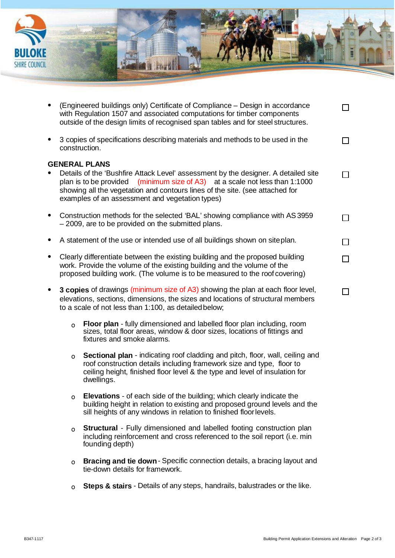

| $\bullet$ |                                                                                                                                                                                                                                         | (Engineered buildings only) Certificate of Compliance – Design in accordance<br>with Regulation 1507 and associated computations for timber components<br>outside of the design limits of recognised span tables and for steel structures.                                                                                      |  |
|-----------|-----------------------------------------------------------------------------------------------------------------------------------------------------------------------------------------------------------------------------------------|---------------------------------------------------------------------------------------------------------------------------------------------------------------------------------------------------------------------------------------------------------------------------------------------------------------------------------|--|
| $\bullet$ |                                                                                                                                                                                                                                         | 3 copies of specifications describing materials and methods to be used in the<br>construction.                                                                                                                                                                                                                                  |  |
|           |                                                                                                                                                                                                                                         | <b>GENERAL PLANS</b><br>Details of the 'Bushfire Attack Level' assessment by the designer. A detailed site<br>plan is to be provided (minimum size of $A3$ ) at a scale not less than 1:1000<br>showing all the vegetation and contours lines of the site. (see attached for<br>examples of an assessment and vegetation types) |  |
| $\bullet$ |                                                                                                                                                                                                                                         | Construction methods for the selected 'BAL' showing compliance with AS 3959<br>-2009, are to be provided on the submitted plans.                                                                                                                                                                                                |  |
|           |                                                                                                                                                                                                                                         | A statement of the use or intended use of all buildings shown on siteplan.                                                                                                                                                                                                                                                      |  |
| $\bullet$ | Clearly differentiate between the existing building and the proposed building<br>work. Provide the volume of the existing building and the volume of the<br>proposed building work. (The volume is to be measured to the roof covering) |                                                                                                                                                                                                                                                                                                                                 |  |
| $\bullet$ |                                                                                                                                                                                                                                         | 3 copies of drawings (minimum size of A3) showing the plan at each floor level,<br>elevations, sections, dimensions, the sizes and locations of structural members<br>to a scale of not less than 1:100, as detailed below;                                                                                                     |  |
|           | $\circ$                                                                                                                                                                                                                                 | Floor plan - fully dimensioned and labelled floor plan including, room<br>sizes, total floor areas, window & door sizes, locations of fittings and<br>fixtures and smoke alarms.                                                                                                                                                |  |
|           | $\Omega$                                                                                                                                                                                                                                | Sectional plan - indicating roof cladding and pitch, floor, wall, ceiling and<br>roof construction details including framework size and type, floor to                                                                                                                                                                          |  |

o **Elevations** - of each side of the building; which clearly indicate the building height in relation to existing and proposed ground levels and the sill heights of any windows in relation to finished floor levels.

ceiling height, finished floor level & the type and level of insulation for

dwellings.

- o **Structural**  Fully dimensioned and labelled footing construction plan including reinforcement and cross referenced to the soil report (i.e. min founding depth)
- o **Bracing and tie down** Specific connection details, a bracing layout and tie-down details for framework.
- o **Steps & stairs** Details of any steps, handrails, balustrades or the like.